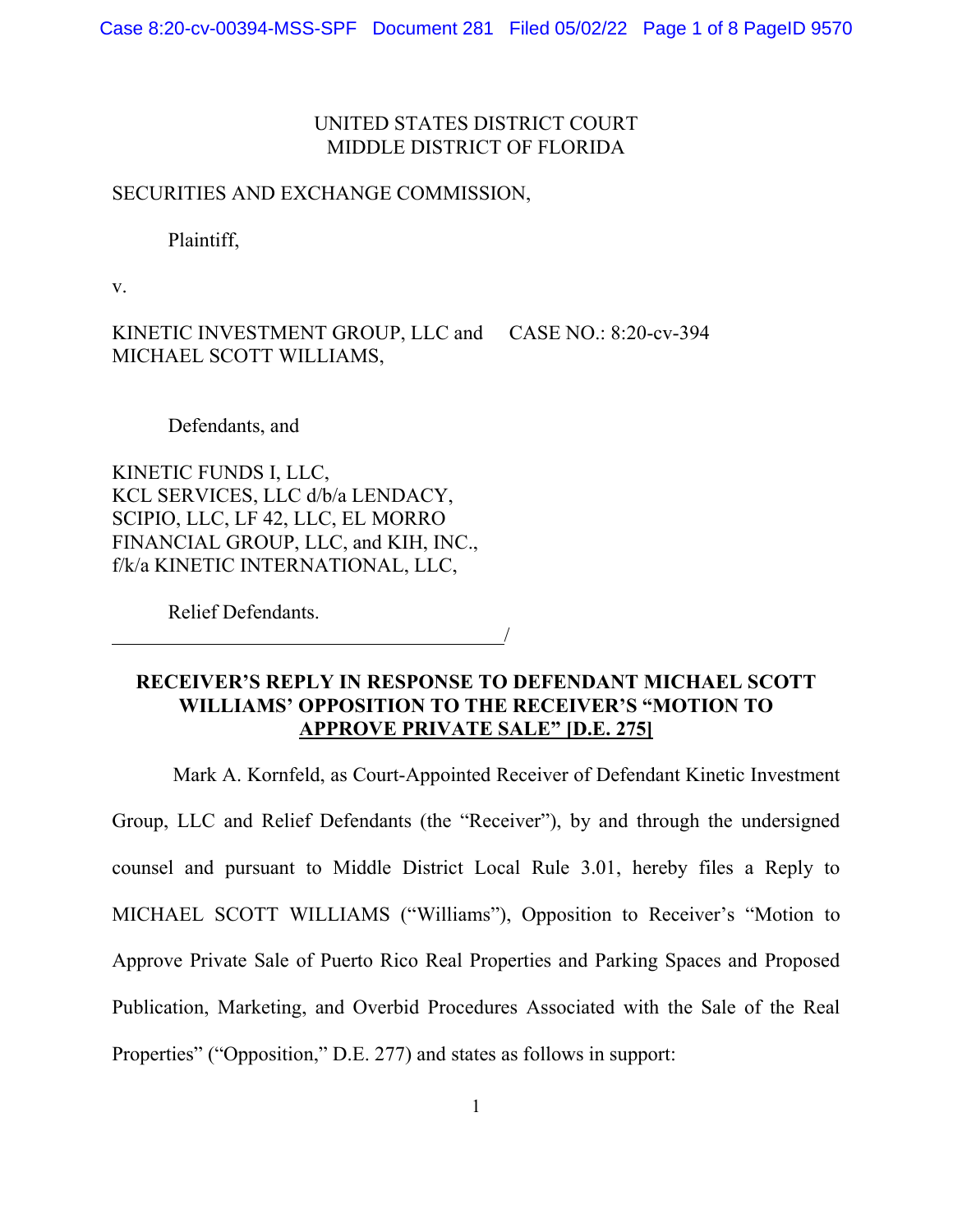# UNITED STATES DISTRICT COURT MIDDLE DISTRICT OF FLORIDA

## SECURITIES AND EXCHANGE COMMISSION,

### Plaintiff,

v.

KINETIC INVESTMENT GROUP, LLC and CASE NO.: 8:20-cv-394 MICHAEL SCOTT WILLIAMS,

#### Defendants, and

KINETIC FUNDS I, LLC, KCL SERVICES, LLC d/b/a LENDACY, SCIPIO, LLC, LF 42, LLC, EL MORRO FINANCIAL GROUP, LLC, and KIH, INC., f/k/a KINETIC INTERNATIONAL, LLC,

Relief Defendants.

**RECEIVER'S REPLY IN RESPONSE TO DEFENDANT MICHAEL SCOTT WILLIAMS' OPPOSITION TO THE RECEIVER'S "MOTION TO APPROVE PRIVATE SALE" [D.E. 275]**

/

Mark A. Kornfeld, as Court-Appointed Receiver of Defendant Kinetic Investment Group, LLC and Relief Defendants (the "Receiver"), by and through the undersigned counsel and pursuant to Middle District Local Rule 3.01, hereby files a Reply to MICHAEL SCOTT WILLIAMS ("Williams"), Opposition to Receiver's "Motion to Approve Private Sale of Puerto Rico Real Properties and Parking Spaces and Proposed Publication, Marketing, and Overbid Procedures Associated with the Sale of the Real Properties" ("Opposition," D.E. 277) and states as follows in support: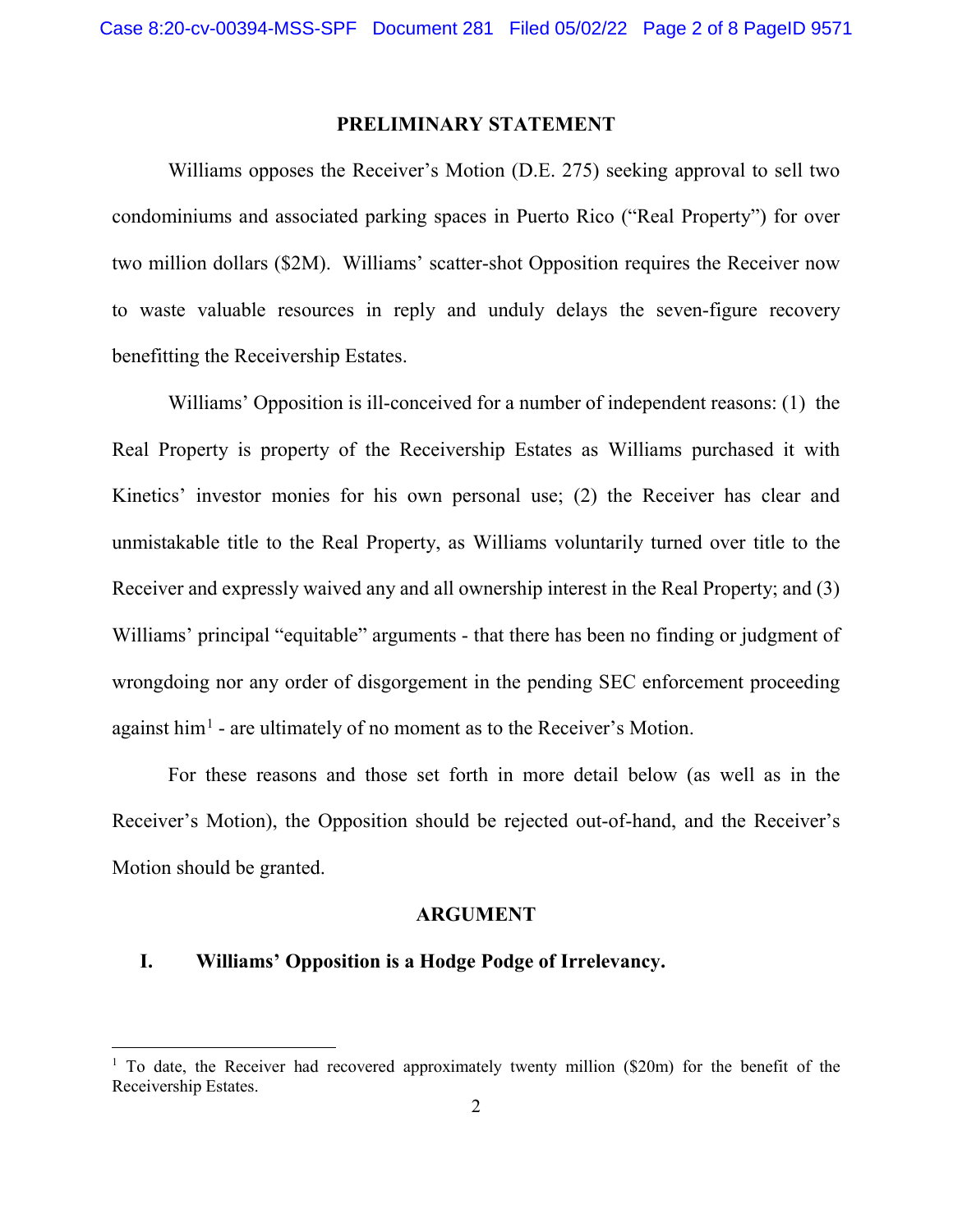### **PRELIMINARY STATEMENT**

Williams opposes the Receiver's Motion (D.E. 275) seeking approval to sell two condominiums and associated parking spaces in Puerto Rico ("Real Property") for over two million dollars (\$2M). Williams' scatter-shot Opposition requires the Receiver now to waste valuable resources in reply and unduly delays the seven-figure recovery benefitting the Receivership Estates.

Williams' Opposition is ill-conceived for a number of independent reasons: (1) the Real Property is property of the Receivership Estates as Williams purchased it with Kinetics' investor monies for his own personal use; (2) the Receiver has clear and unmistakable title to the Real Property, as Williams voluntarily turned over title to the Receiver and expressly waived any and all ownership interest in the Real Property; and (3) Williams' principal "equitable" arguments - that there has been no finding or judgment of wrongdoing nor any order of disgorgement in the pending SEC enforcement proceeding against him[1](#page-1-0) - are ultimately of no moment as to the Receiver's Motion.

For these reasons and those set forth in more detail below (as well as in the Receiver's Motion), the Opposition should be rejected out-of-hand, and the Receiver's Motion should be granted.

### **ARGUMENT**

### **I. Williams' Opposition is a Hodge Podge of Irrelevancy.**

<span id="page-1-0"></span><sup>&</sup>lt;sup>1</sup> To date, the Receiver had recovered approximately twenty million (\$20m) for the benefit of the Receivership Estates.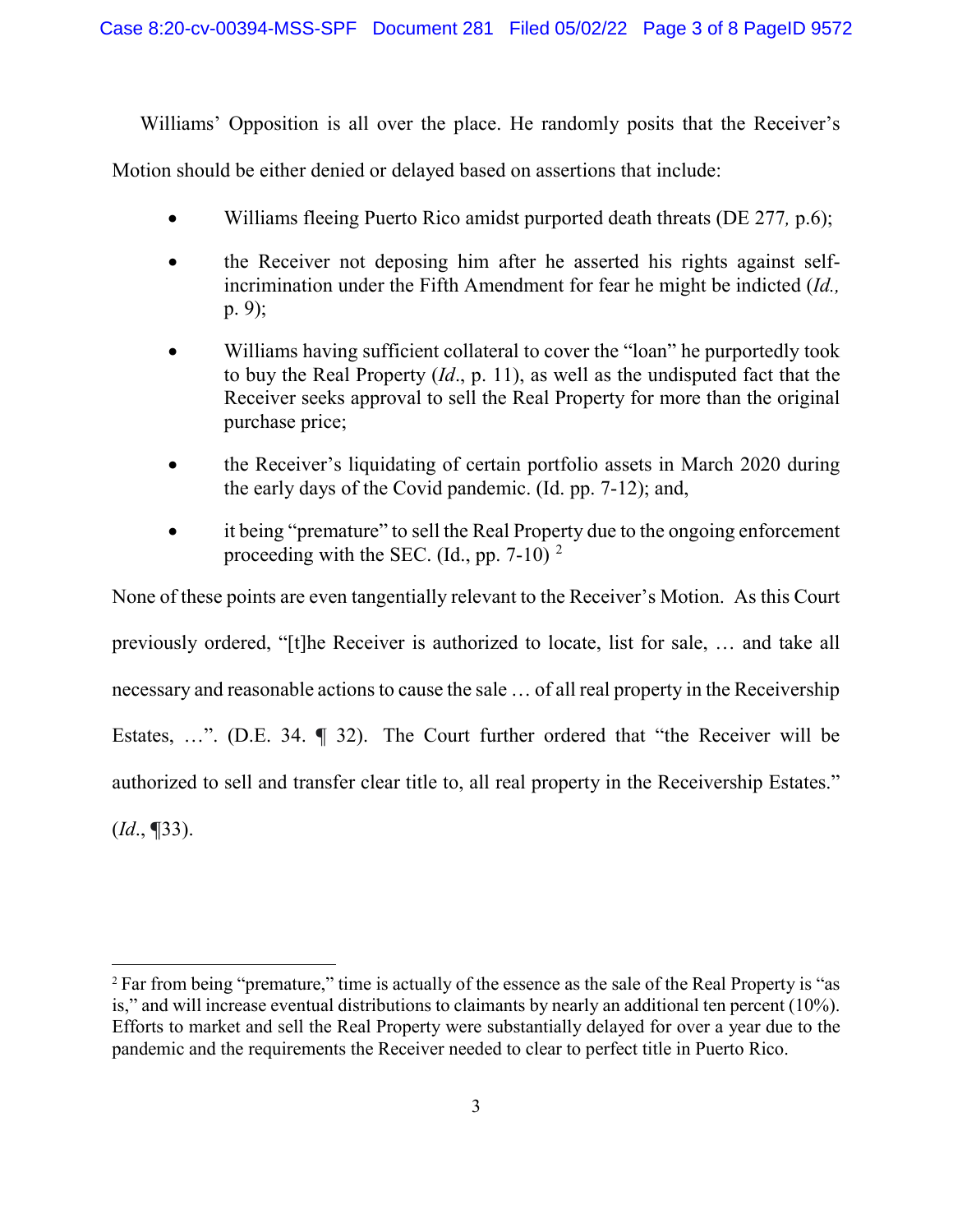Williams' Opposition is all over the place. He randomly posits that the Receiver's

Motion should be either denied or delayed based on assertions that include:

- Williams fleeing Puerto Rico amidst purported death threats (DE 277*,* p.6);
- the Receiver not deposing him after he asserted his rights against selfincrimination under the Fifth Amendment for fear he might be indicted (*Id.,* p. 9);
- Williams having sufficient collateral to cover the "loan" he purportedly took to buy the Real Property (*Id*., p. 11), as well as the undisputed fact that the Receiver seeks approval to sell the Real Property for more than the original purchase price;
- the Receiver's liquidating of certain portfolio assets in March 2020 during the early days of the Covid pandemic. (Id. pp. 7-12); and,
- it being "premature" to sell the Real Property due to the ongoing enforcement proceeding with the SEC. (Id., pp. 7-10)  $^2$  $^2$

None of these points are even tangentially relevant to the Receiver's Motion. As this Court previously ordered, "[t]he Receiver is authorized to locate, list for sale, … and take all necessary and reasonable actions to cause the sale … of all real property in the Receivership Estates, …". (D.E. 34. **¶** 32). The Court further ordered that "the Receiver will be authorized to sell and transfer clear title to, all real property in the Receivership Estates." (*Id*., **¶**33).

<span id="page-2-0"></span><sup>&</sup>lt;sup>2</sup> Far from being "premature," time is actually of the essence as the sale of the Real Property is "as is," and will increase eventual distributions to claimants by nearly an additional ten percent (10%). Efforts to market and sell the Real Property were substantially delayed for over a year due to the pandemic and the requirements the Receiver needed to clear to perfect title in Puerto Rico.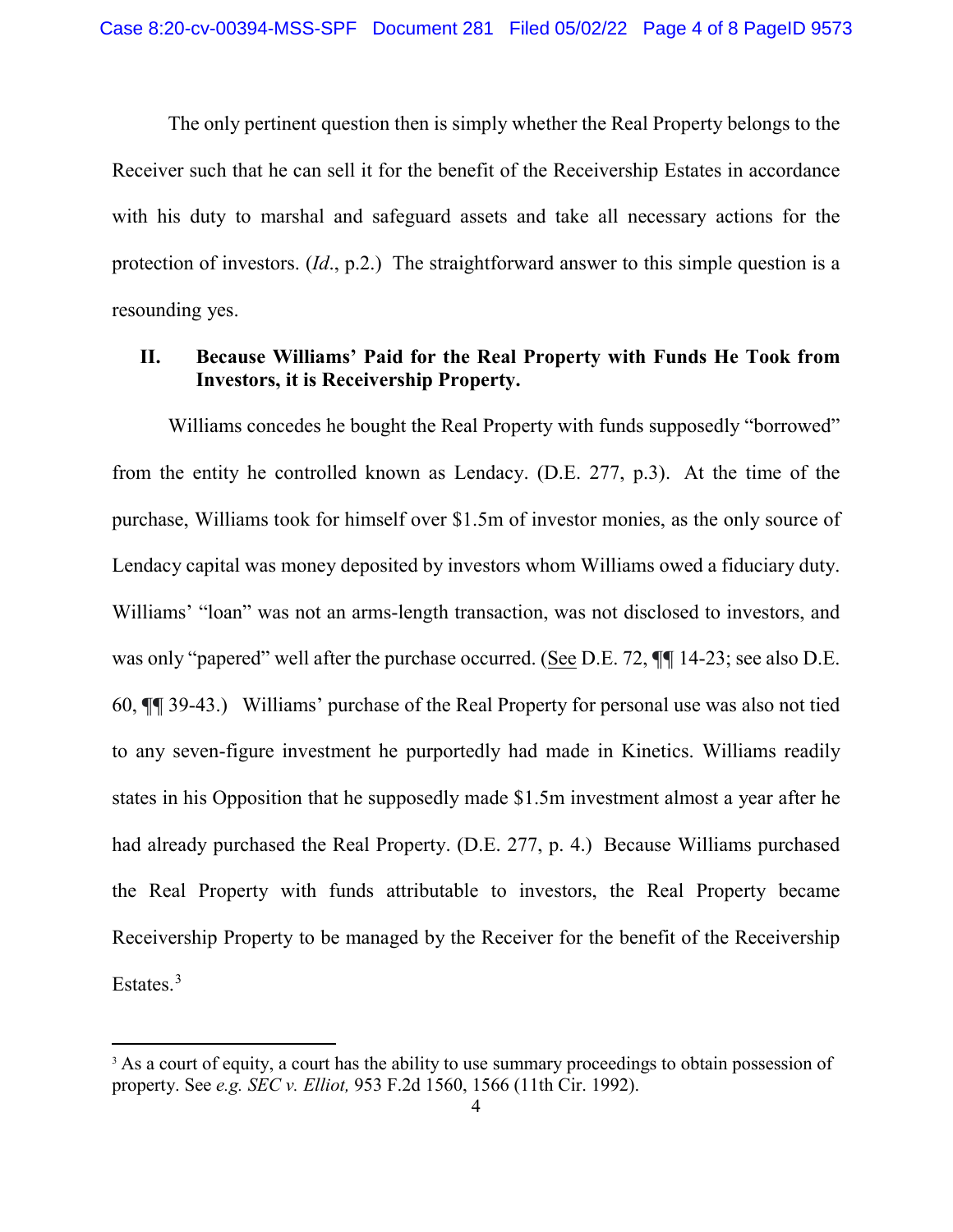The only pertinent question then is simply whether the Real Property belongs to the Receiver such that he can sell it for the benefit of the Receivership Estates in accordance with his duty to marshal and safeguard assets and take all necessary actions for the protection of investors. (*Id*., p.2.) The straightforward answer to this simple question is a resounding yes.

## **II. Because Williams' Paid for the Real Property with Funds He Took from Investors, it is Receivership Property.**

Williams concedes he bought the Real Property with funds supposedly "borrowed" from the entity he controlled known as Lendacy. (D.E. 277, p.3). At the time of the purchase, Williams took for himself over \$1.5m of investor monies, as the only source of Lendacy capital was money deposited by investors whom Williams owed a fiduciary duty. Williams' "loan" was not an arms-length transaction, was not disclosed to investors, and was only "papered" well after the purchase occurred. (See D.E. 72, **¶¶** 14-23; see also D.E. 60, **¶¶** 39-43.) Williams' purchase of the Real Property for personal use was also not tied to any seven-figure investment he purportedly had made in Kinetics. Williams readily states in his Opposition that he supposedly made \$1.5m investment almost a year after he had already purchased the Real Property. (D.E. 277, p. 4.) Because Williams purchased the Real Property with funds attributable to investors, the Real Property became Receivership Property to be managed by the Receiver for the benefit of the Receivership Estates.<sup>[3](#page-3-0)</sup>

<span id="page-3-0"></span><sup>&</sup>lt;sup>3</sup> As a court of equity, a court has the ability to use summary proceedings to obtain possession of property. See *e.g. SEC v. Elliot,* 953 F.2d 1560, 1566 (11th Cir. 1992).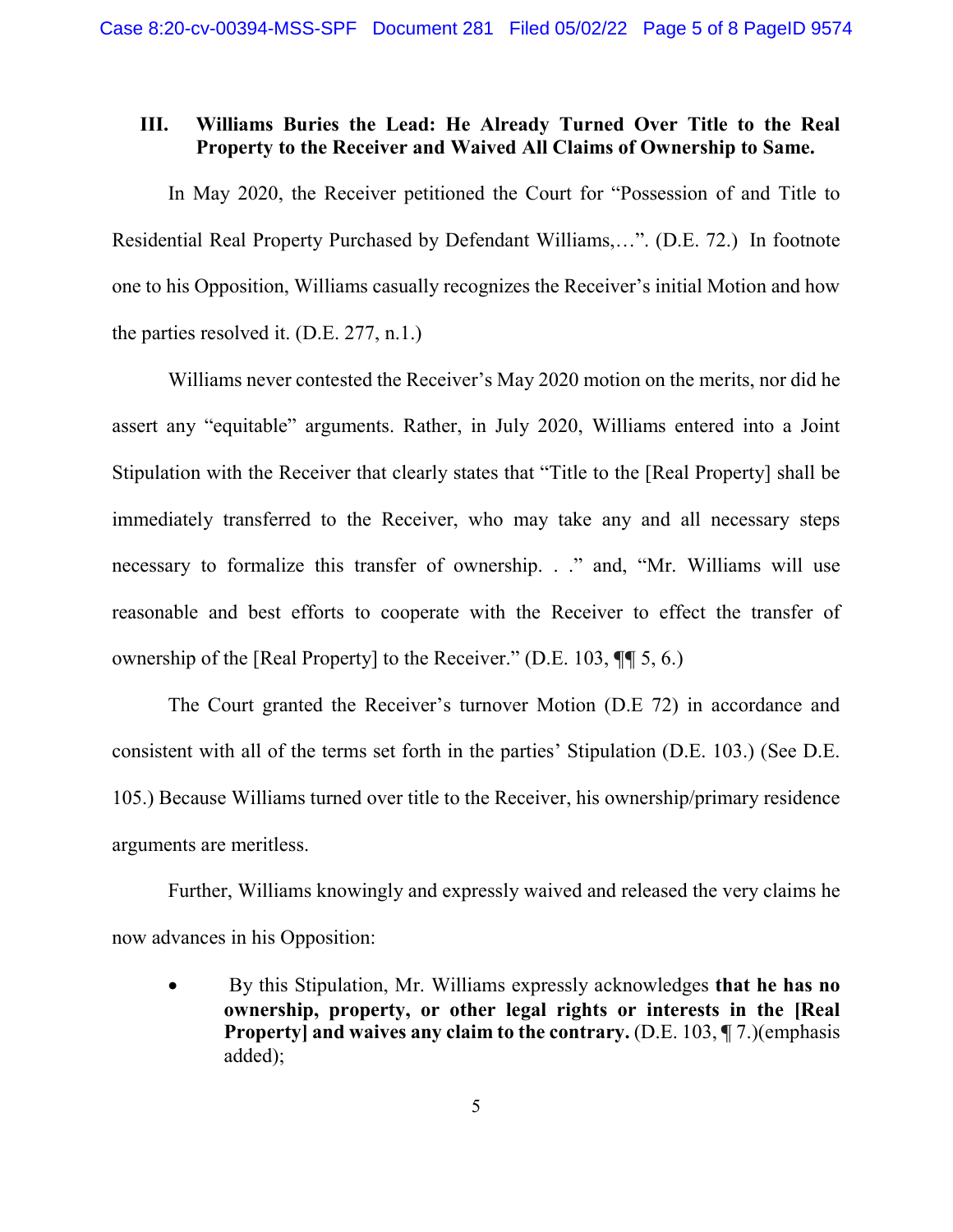# **III. Williams Buries the Lead: He Already Turned Over Title to the Real Property to the Receiver and Waived All Claims of Ownership to Same.**

In May 2020, the Receiver petitioned the Court for "Possession of and Title to Residential Real Property Purchased by Defendant Williams,…". (D.E. 72.) In footnote one to his Opposition, Williams casually recognizes the Receiver's initial Motion and how the parties resolved it. (D.E. 277, n.1.)

Williams never contested the Receiver's May 2020 motion on the merits, nor did he assert any "equitable" arguments. Rather, in July 2020, Williams entered into a Joint Stipulation with the Receiver that clearly states that "Title to the [Real Property] shall be immediately transferred to the Receiver, who may take any and all necessary steps necessary to formalize this transfer of ownership. . ." and, "Mr. Williams will use reasonable and best efforts to cooperate with the Receiver to effect the transfer of ownership of the [Real Property] to the Receiver." (D.E. 103, **¶¶** 5, 6.)

The Court granted the Receiver's turnover Motion (D.E 72) in accordance and consistent with all of the terms set forth in the parties' Stipulation (D.E. 103.) (See D.E. 105.) Because Williams turned over title to the Receiver, his ownership/primary residence arguments are meritless.

Further, Williams knowingly and expressly waived and released the very claims he now advances in his Opposition:

• By this Stipulation, Mr. Williams expressly acknowledges **that he has no ownership, property, or other legal rights or interests in the [Real Property] and waives any claim to the contrary.** (D.E. 103, ¶7.)(emphasis added);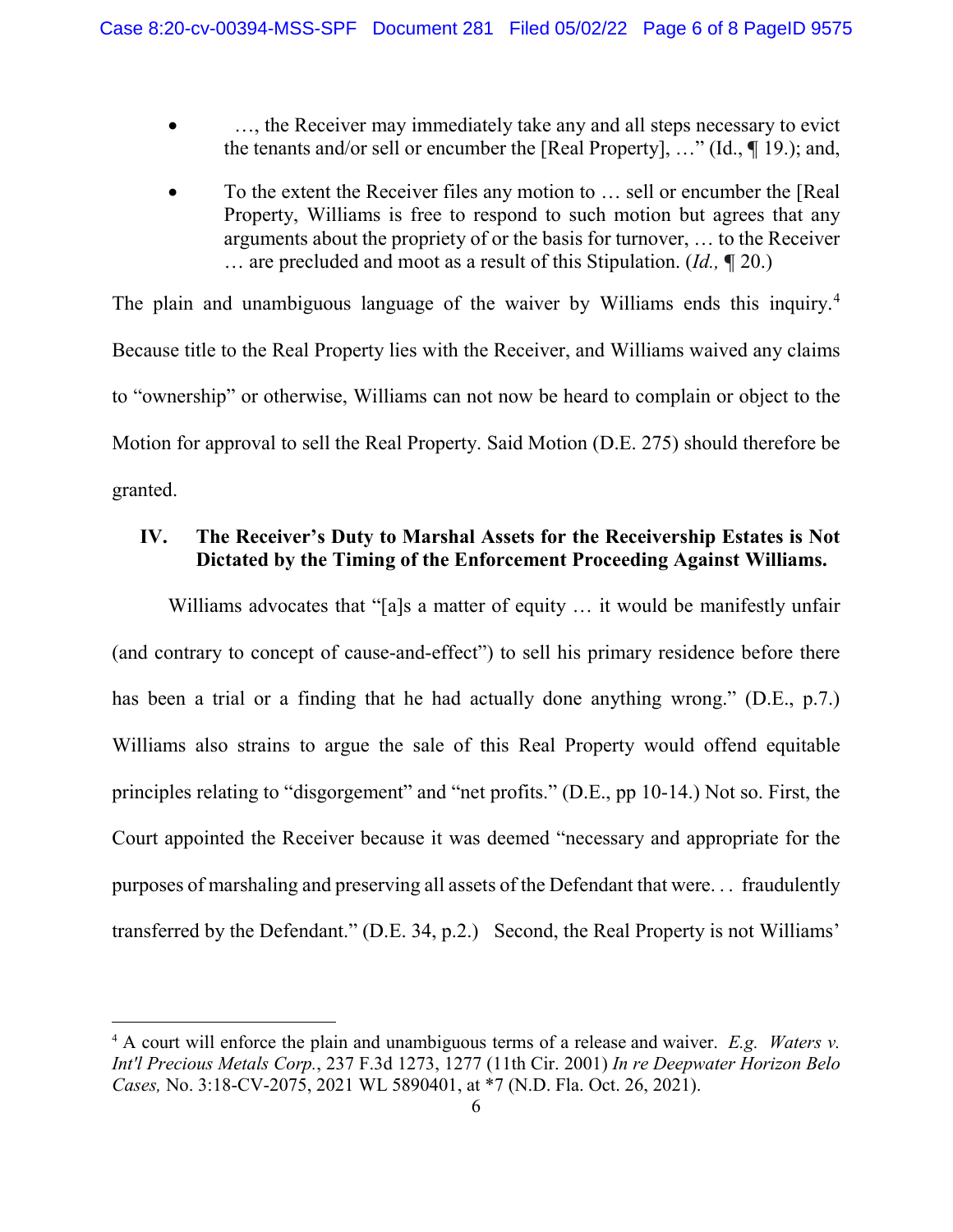- ..., the Receiver may immediately take any and all steps necessary to evict the tenants and/or sell or encumber the [Real Property], …" (Id., **¶** 19.); and,
- To the extent the Receiver files any motion to ... sell or encumber the [Real] Property, Williams is free to respond to such motion but agrees that any arguments about the propriety of or the basis for turnover, … to the Receiver … are precluded and moot as a result of this Stipulation. (*Id.,* **¶** 20.)

The plain and unambiguous language of the waiver by Williams ends this inquiry.<sup>[4](#page-5-0)</sup> Because title to the Real Property lies with the Receiver, and Williams waived any claims to "ownership" or otherwise, Williams can not now be heard to complain or object to the Motion for approval to sell the Real Property. Said Motion (D.E. 275) should therefore be granted.

# **IV. The Receiver's Duty to Marshal Assets for the Receivership Estates is Not Dictated by the Timing of the Enforcement Proceeding Against Williams.**

Williams advocates that "[a]s a matter of equity ... it would be manifestly unfair (and contrary to concept of cause-and-effect") to sell his primary residence before there has been a trial or a finding that he had actually done anything wrong." (D.E., p.7.) Williams also strains to argue the sale of this Real Property would offend equitable principles relating to "disgorgement" and "net profits." (D.E., pp 10-14.) Not so. First, the Court appointed the Receiver because it was deemed "necessary and appropriate for the purposes of marshaling and preserving all assets of the Defendant that were. . . fraudulently transferred by the Defendant." (D.E. 34, p.2.) Second, the Real Property is not Williams'

<span id="page-5-0"></span> <sup>4</sup> <sup>A</sup> court will enforce the plain and unambiguous terms of a release and waiver. *E.g. Waters v. Int'l Precious Metals Corp.*, 237 F.3d 1273, 1277 (11th Cir. 2001) *In re Deepwater Horizon Belo Cases,* No. 3:18-CV-2075, 2021 WL 5890401, at \*7 (N.D. Fla. Oct. 26, 2021).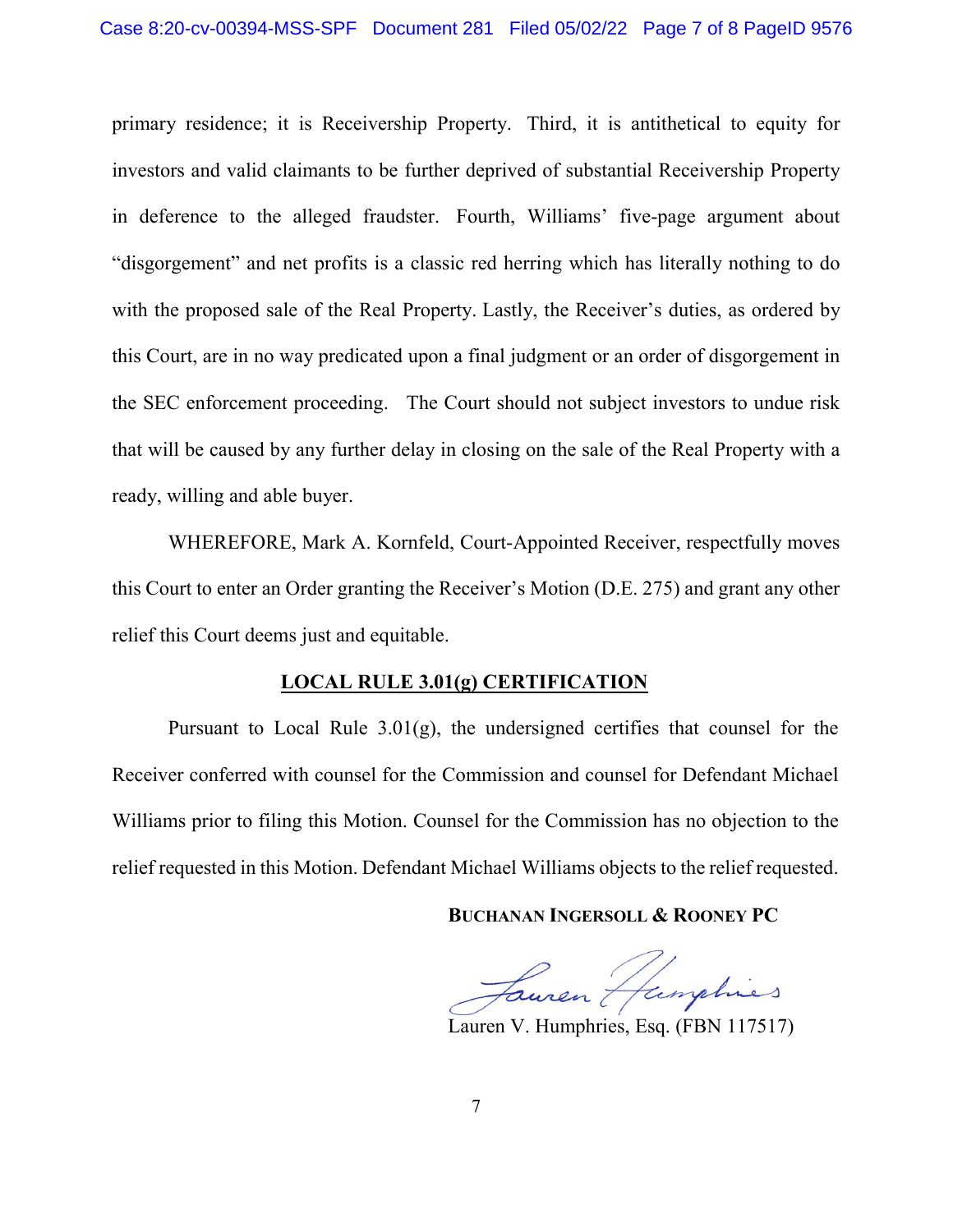primary residence; it is Receivership Property. Third, it is antithetical to equity for investors and valid claimants to be further deprived of substantial Receivership Property in deference to the alleged fraudster. Fourth, Williams' five-page argument about "disgorgement" and net profits is a classic red herring which has literally nothing to do with the proposed sale of the Real Property. Lastly, the Receiver's duties, as ordered by this Court, are in no way predicated upon a final judgment or an order of disgorgement in the SEC enforcement proceeding. The Court should not subject investors to undue risk that will be caused by any further delay in closing on the sale of the Real Property with a ready, willing and able buyer.

WHEREFORE, Mark A. Kornfeld, Court-Appointed Receiver, respectfully moves this Court to enter an Order granting the Receiver's Motion (D.E. 275) and grant any other relief this Court deems just and equitable.

#### **LOCAL RULE 3.01(g) CERTIFICATION**

Pursuant to Local Rule  $3.01(g)$ , the undersigned certifies that counsel for the Receiver conferred with counsel for the Commission and counsel for Defendant Michael Williams prior to filing this Motion. Counsel for the Commission has no objection to the relief requested in this Motion. Defendant Michael Williams objects to the relief requested.

**BUCHANAN INGERSOLL & ROONEY PC**

Fauren Humphies

Lauren V. Humphries, Esq. (FBN 117517)